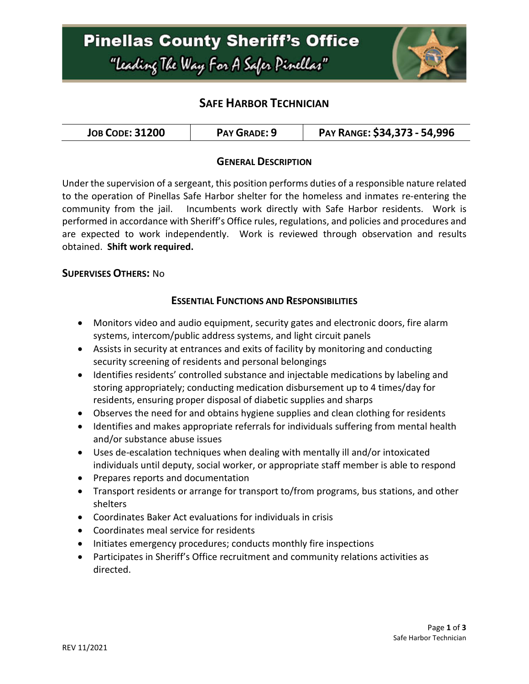

## **SAFE HARBOR TECHNICIAN**

| <b>JOB CODE: 31200</b> | PAY GRADE: 9 | PAY RANGE: \$34,373 - 54,996 |
|------------------------|--------------|------------------------------|
|------------------------|--------------|------------------------------|

### **GENERAL DESCRIPTION**

Under the supervision of a sergeant, this position performs duties of a responsible nature related to the operation of Pinellas Safe Harbor shelter for the homeless and inmates re-entering the community from the jail. Incumbents work directly with Safe Harbor residents. Work is performed in accordance with Sheriff's Office rules, regulations, and policies and procedures and are expected to work independently. Work is reviewed through observation and results obtained. **Shift work required.**

#### **SUPERVISES OTHERS:** No

#### **ESSENTIAL FUNCTIONS AND RESPONSIBILITIES**

- Monitors video and audio equipment, security gates and electronic doors, fire alarm systems, intercom/public address systems, and light circuit panels
- Assists in security at entrances and exits of facility by monitoring and conducting security screening of residents and personal belongings
- Identifies residents' controlled substance and injectable medications by labeling and storing appropriately; conducting medication disbursement up to 4 times/day for residents, ensuring proper disposal of diabetic supplies and sharps
- Observes the need for and obtains hygiene supplies and clean clothing for residents
- Identifies and makes appropriate referrals for individuals suffering from mental health and/or substance abuse issues
- Uses de-escalation techniques when dealing with mentally ill and/or intoxicated individuals until deputy, social worker, or appropriate staff member is able to respond
- Prepares reports and documentation
- Transport residents or arrange for transport to/from programs, bus stations, and other shelters
- Coordinates Baker Act evaluations for individuals in crisis
- Coordinates meal service for residents
- Initiates emergency procedures; conducts monthly fire inspections
- Participates in Sheriff's Office recruitment and community relations activities as directed.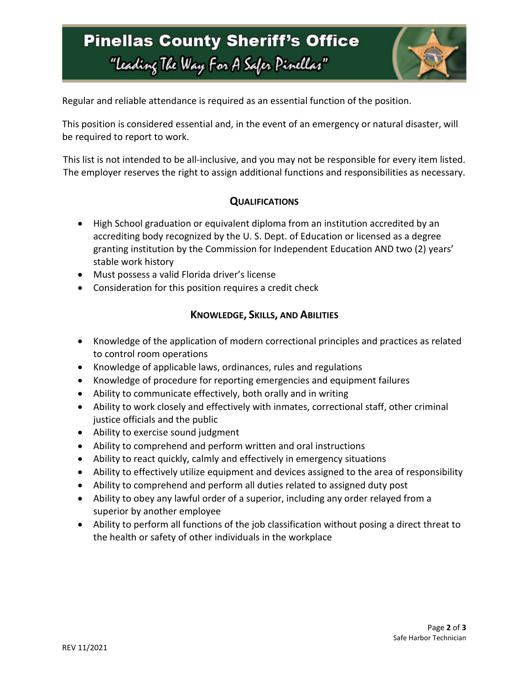# **Pinellas County Sheriff's Office** "Leading The Way For A Safer Pinellar"



Regular and reliable attendance is required as an essential function of the position.

This position is considered essential and, in the event of an emergency or natural disaster, will be required to report to work.

This list is not intended to be all-inclusive, and you may not be responsible for every item listed. The employer reserves the right to assign additional functions and responsibilities as necessary.

### **QUALIFICATIONS**

- High School graduation or equivalent diploma from an institution accredited by an accrediting body recognized by the U. S. Dept. of Education or licensed as a degree granting institution by the Commission for Independent Education AND two (2) years' stable work history
- Must possess a valid Florida driver's license
- Consideration for this position requires a credit check

### **KNOWLEDGE, SKILLS, AND ABILITIES**

- Knowledge of the application of modern correctional principles and practices as related to control room operations
- Knowledge of applicable laws, ordinances, rules and regulations
- Knowledge of procedure for reporting emergencies and equipment failures
- Ability to communicate effectively, both orally and in writing
- Ability to work closely and effectively with inmates, correctional staff, other criminal justice officials and the public
- Ability to exercise sound judgment
- Ability to comprehend and perform written and oral instructions
- Ability to react quickly, calmly and effectively in emergency situations
- Ability to effectively utilize equipment and devices assigned to the area of responsibility
- Ability to comprehend and perform all duties related to assigned duty post
- Ability to obey any lawful order of a superior, including any order relayed from a superior by another employee
- Ability to perform all functions of the job classification without posing a direct threat to the health or safety of other individuals in the workplace